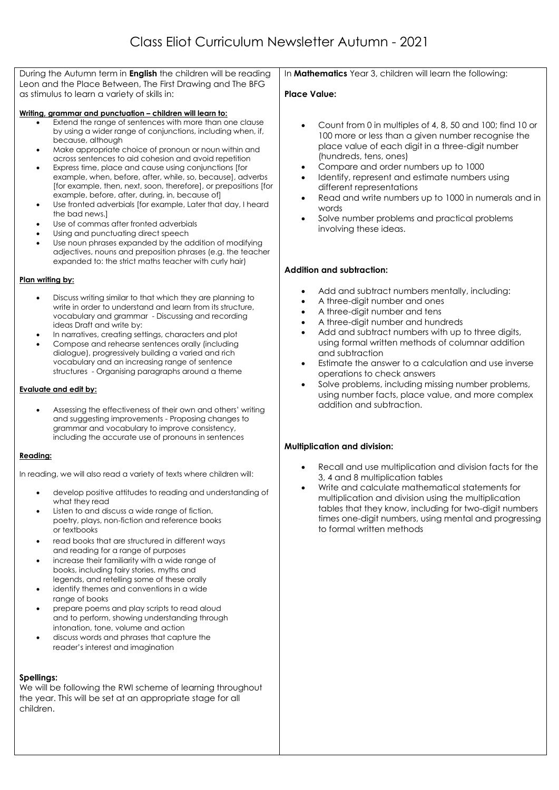During the Autumn term in **English** the children will be reading Leon and the Place Between, The First Drawing and The BFG as stimulus to learn a variety of skills in:

#### **Writing, grammar and punctuation – children will learn to:**

- Extend the range of sentences with more than one clause by using a wider range of conjunctions, including when, if, because, although
- Make appropriate choice of pronoun or noun within and across sentences to aid cohesion and avoid repetition
- Express time, place and cause using conjunctions [for example, when, before, after, while, so, because], adverbs [for example, then, next, soon, therefore], or prepositions [for example, before, after, during, in, because of]
- Use fronted adverbials [for example, Later that day, I heard the bad news.]
- Use of commas after fronted adverbials
- Using and punctuating direct speech
- Use noun phrases expanded by the addition of modifying adjectives, nouns and preposition phrases (e.g. the teacher expanded to: the strict maths teacher with curly hair)

#### **Plan writing by:**

- Discuss writing similar to that which they are planning to write in order to understand and learn from its structure, vocabulary and grammar - Discussing and recording ideas Draft and write by:
- In narratives, creating settings, characters and plot
- Compose and rehearse sentences orally (including dialogue), progressively building a varied and rich vocabulary and an increasing range of sentence structures - Organising paragraphs around a theme

#### **Evaluate and edit by:**

 Assessing the effectiveness of their own and others' writing and suggesting improvements - Proposing changes to grammar and vocabulary to improve consistency, including the accurate use of pronouns in sentences

#### **Reading:**

In reading, we will also read a variety of texts where children will:

- develop positive attitudes to reading and understanding of what they read
- Listen to and discuss a wide range of fiction, poetry, plays, non-fiction and reference books or textbooks
- read books that are structured in different ways and reading for a range of purposes
- increase their familiarity with a wide range of books, including fairy stories, myths and legends, and retelling some of these orally
- identify themes and conventions in a wide range of books
- prepare poems and play scripts to read aloud and to perform, showing understanding through intonation, tone, volume and action
- discuss words and phrases that capture the reader's interest and imagination

## **Spellings:**

We will be following the RWI scheme of learning throughout the year. This will be set at an appropriate stage for all children.

In **Mathematics** Year 3, children will learn the following:

### **Place Value:**

- Count from 0 in multiples of 4, 8, 50 and 100; find 10 or 100 more or less than a given number recognise the place value of each digit in a three-digit number (hundreds, tens, ones)
- Compare and order numbers up to 1000
- Identify, represent and estimate numbers using different representations
- Read and write numbers up to 1000 in numerals and in words
- Solve number problems and practical problems involving these ideas.

### **Addition and subtraction:**

- Add and subtract numbers mentally, including:
- A three-digit number and ones
- A three-digit number and tens
- A three-digit number and hundreds
- Add and subtract numbers with up to three digits, using formal written methods of columnar addition and subtraction
- Estimate the answer to a calculation and use inverse operations to check answers
- Solve problems, including missing number problems, using number facts, place value, and more complex addition and subtraction.

#### **Multiplication and division:**

- Recall and use multiplication and division facts for the 3, 4 and 8 multiplication tables
- Write and calculate mathematical statements for multiplication and division using the multiplication tables that they know, including for two-digit numbers times one-digit numbers, using mental and progressing to formal written methods